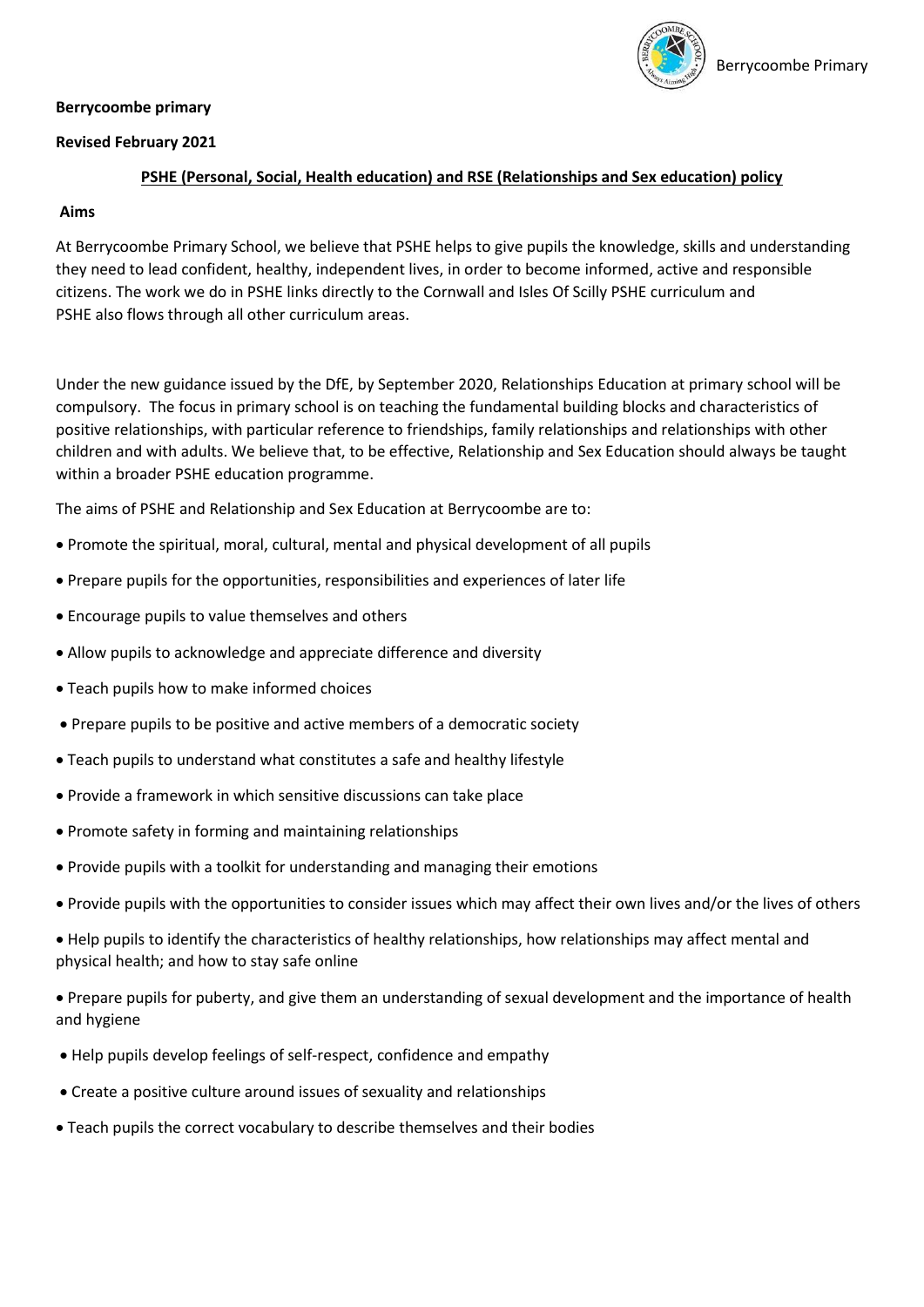### **Berrycoombe primary**



## **Revised February 2021**

## **PSHE (Personal, Social, Health education) and RSE (Relationships and Sex education) policy**

## **Aims**

At Berrycoombe Primary School, we believe that PSHE helps to give pupils the knowledge, skills and understanding they need to lead confident, healthy, independent lives, in order to become informed, active and responsible citizens. The work we do in PSHE links directly to the Cornwall and Isles Of Scilly PSHE curriculum and PSHE also flows through all other curriculum areas.

Under the new guidance issued by the DfE, by September 2020, Relationships Education at primary school will be compulsory. The focus in primary school is on teaching the fundamental building blocks and characteristics of positive relationships, with particular reference to friendships, family relationships and relationships with other children and with adults. We believe that, to be effective, Relationship and Sex Education should always be taught within a broader PSHE education programme.

The aims of PSHE and Relationship and Sex Education at Berrycoombe are to:

- Promote the spiritual, moral, cultural, mental and physical development of all pupils
- Prepare pupils for the opportunities, responsibilities and experiences of later life
- Encourage pupils to value themselves and others
- Allow pupils to acknowledge and appreciate difference and diversity
- Teach pupils how to make informed choices
- Prepare pupils to be positive and active members of a democratic society
- Teach pupils to understand what constitutes a safe and healthy lifestyle
- Provide a framework in which sensitive discussions can take place
- Promote safety in forming and maintaining relationships
- Provide pupils with a toolkit for understanding and managing their emotions
- Provide pupils with the opportunities to consider issues which may affect their own lives and/or the lives of others
- Help pupils to identify the characteristics of healthy relationships, how relationships may affect mental and physical health; and how to stay safe online
- Prepare pupils for puberty, and give them an understanding of sexual development and the importance of health and hygiene
- Help pupils develop feelings of self-respect, confidence and empathy
- Create a positive culture around issues of sexuality and relationships
- Teach pupils the correct vocabulary to describe themselves and their bodies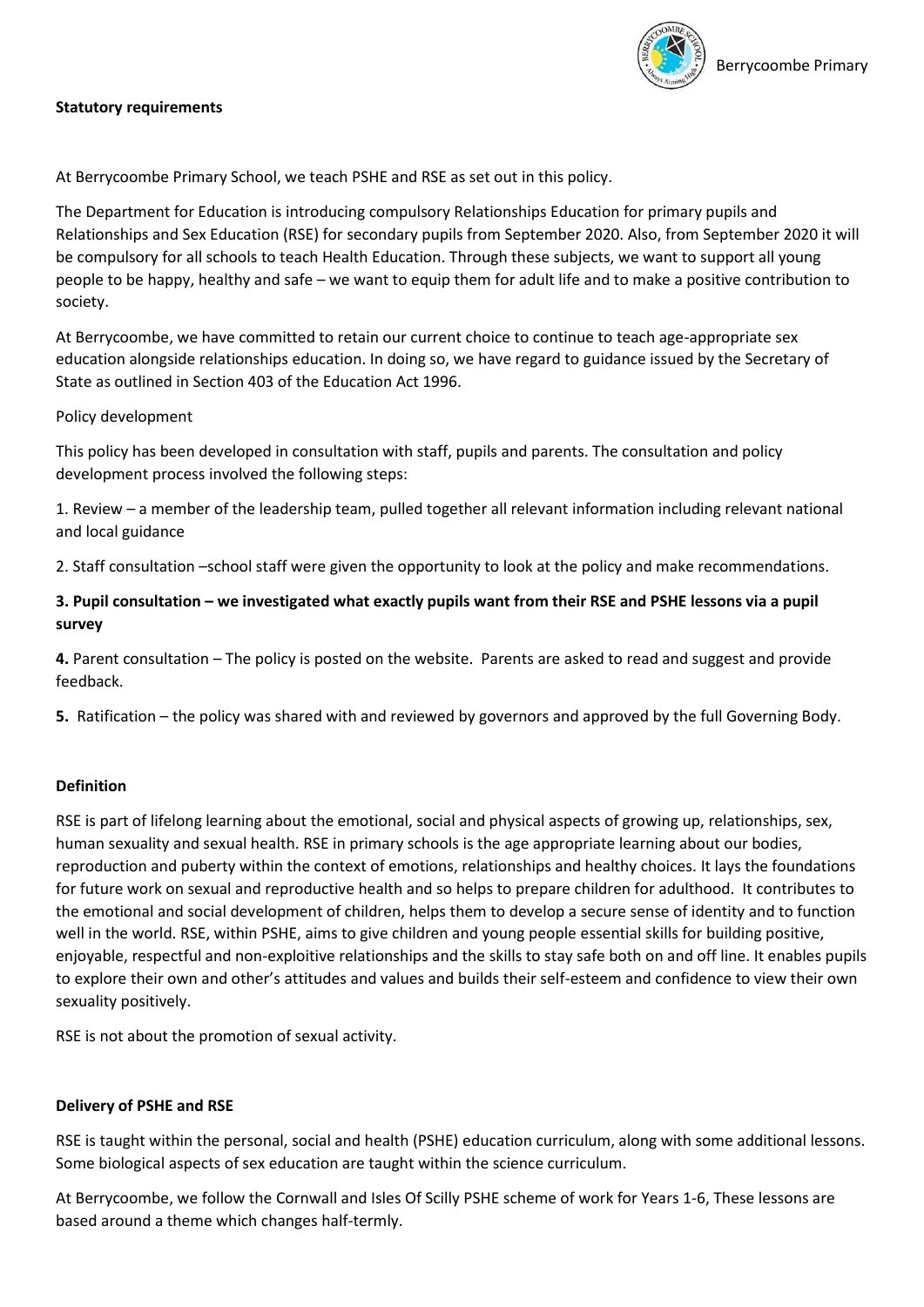

## **Statutory requirements**

At Berrycoombe Primary School, we teach PSHE and RSE as set out in this policy.

The Department for Education is introducing compulsory Relationships Education for primary pupils and Relationships and Sex Education (RSE) for secondary pupils from September 2020. Also, from September 2020 it will be compulsory for all schools to teach Health Education. Through these subjects, we want to support all young people to be happy, healthy and safe – we want to equip them for adult life and to make a positive contribution to society.

At Berrycoombe, we have committed to retain our current choice to continue to teach age-appropriate sex education alongside relationships education. In doing so, we have regard to guidance issued by the Secretary of State as outlined in Section 403 of the Education Act 1996.

## Policy development

This policy has been developed in consultation with staff, pupils and parents. The consultation and policy development process involved the following steps:

1. Review – a member of the leadership team, pulled together all relevant information including relevant national and local guidance

2. Staff consultation –school staff were given the opportunity to look at the policy and make recommendations.

# **3. Pupil consultation – we investigated what exactly pupils want from their RSE and PSHE lessons via a pupil survey**

**4.** Parent consultation – The policy is posted on the website. Parents are asked to read and suggest and provide feedback.

**5.** Ratification – the policy was shared with and reviewed by governors and approved by the full Governing Body.

## **Definition**

RSE is part of lifelong learning about the emotional, social and physical aspects of growing up, relationships, sex, human sexuality and sexual health. RSE in primary schools is the age appropriate learning about our bodies, reproduction and puberty within the context of emotions, relationships and healthy choices. It lays the foundations for future work on sexual and reproductive health and so helps to prepare children for adulthood. It contributes to the emotional and social development of children, helps them to develop a secure sense of identity and to function well in the world. RSE, within PSHE, aims to give children and young people essential skills for building positive, enjoyable, respectful and non-exploitive relationships and the skills to stay safe both on and off line. It enables pupils to explore their own and other's attitudes and values and builds their self-esteem and confidence to view their own sexuality positively.

RSE is not about the promotion of sexual activity.

## **Delivery of PSHE and RSE**

RSE is taught within the personal, social and health (PSHE) education curriculum, along with some additional lessons. Some biological aspects of sex education are taught within the science curriculum.

At Berrycoombe, we follow the Cornwall and Isles Of Scilly PSHE scheme of work for Years 1-6, These lessons are based around a theme which changes half-termly.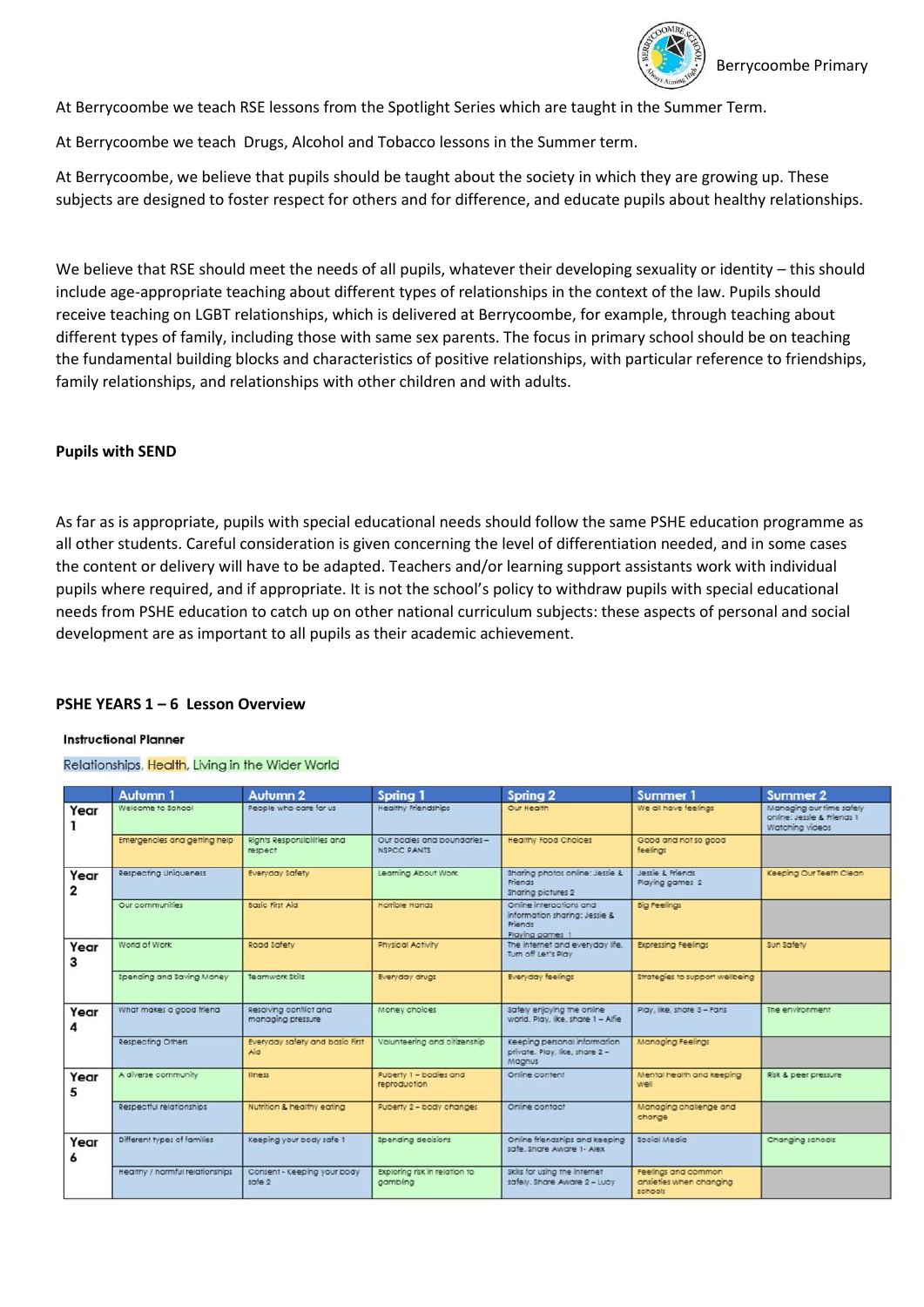

At Berrycoombe we teach RSE lessons from the Spotlight Series which are taught in the Summer Term.

At Berrycoombe we teach Drugs, Alcohol and Tobacco lessons in the Summer term.

At Berrycoombe, we believe that pupils should be taught about the society in which they are growing up. These subjects are designed to foster respect for others and for difference, and educate pupils about healthy relationships.

We believe that RSE should meet the needs of all pupils, whatever their developing sexuality or identity – this should include age-appropriate teaching about different types of relationships in the context of the law. Pupils should receive teaching on LGBT relationships, which is delivered at Berrycoombe, for example, through teaching about different types of family, including those with same sex parents. The focus in primary school should be on teaching the fundamental building blocks and characteristics of positive relationships, with particular reference to friendships, family relationships, and relationships with other children and with adults.

## **Pupils with SEND**

As far as is appropriate, pupils with special educational needs should follow the same PSHE education programme as all other students. Careful consideration is given concerning the level of differentiation needed, and in some cases the content or delivery will have to be adapted. Teachers and/or learning support assistants work with individual pupils where required, and if appropriate. It is not the school's policy to withdraw pupils with special educational needs from PSHE education to catch up on other national curriculum subjects: these aspects of personal and social development are as important to all pupils as their academic achievement.

## **PSHE YEARS 1 – 6 Lesson Overview**

#### **Instructional Planner**

#### Relationships, Health, Living in the Wider World

|           | <b>Autumn 1</b>                 | <b>Autumn 2</b>                             | Spring 1                                          | Spring 2                                                                               | Summer 1                                                  | <b>Summer 2</b>                                                           |
|-----------|---------------------------------|---------------------------------------------|---------------------------------------------------|----------------------------------------------------------------------------------------|-----------------------------------------------------------|---------------------------------------------------------------------------|
| Year      | Welcome to School               | People who care for us                      | Healthy Friendships                               | Our Health                                                                             | We all have feelings                                      | Managing our time safely<br>online: Jessie & Friends 1<br>Watching videos |
|           | Emergencies and getting help    | Rights Responsibilities and<br>respect      | Our bodies and boundaries -<br><b>NSPCC PANTS</b> | <b>Healthy Food Choices</b>                                                            | Good and not so good<br>feelings                          |                                                                           |
| Year<br>2 | Respecting Uniqueness           | Everyday Safety                             | Learning About Work                               | Sharing photos online: Jessie &<br>Friends<br>Sharing pictures 2                       | Jessie & Friends<br>Playing games 2                       | Keeping Our Teeth Clean                                                   |
|           | Our communities                 | <b>Basic First Aid</b>                      | Homble Hands                                      | Online interactions and<br>information sharing: Jessie &<br>Friends<br>Playing games 1 | <b>Big Feelings</b>                                       |                                                                           |
| Year<br>3 | World of Work                   | Road Safety                                 | Physical Activity                                 | The internet and everyday ife.<br>Turn off Let's Play                                  | <b>Expressing Feelings</b>                                | sun safety                                                                |
|           | Spending and Saving Money       | Teamwork Skills                             | Everyday drugs                                    | <b>Everyday feelings</b>                                                               | Strategies to support wellbeing                           |                                                                           |
| Year<br>4 | What makes a good friend        | Resolving conflict and<br>managing pressure | Money onoices                                     | safely enjoying the online<br>world. Play, like, share 1 - Alfie                       | Play, like, share 3 - Fans                                | The environment                                                           |
|           | Respecting Others               | Everyday safety and basic First<br>Aid      | Volunteering and citizenship                      | Keeping personal information<br>private. Play, like, share 2-<br>Magnus                | Managing Feelings                                         |                                                                           |
| Year<br>5 | A diverse community             | lliness                                     | Puberty 1 - bodies and<br>reproduction            | Online content                                                                         | Mental health and keeping<br>well                         | Risk & peer pressure                                                      |
|           | Respectful relationships        | Nutrition & healthy eating                  | Puberty 2 - body changes                          | Online contact                                                                         | Managing challenge and<br>change                          |                                                                           |
| Year<br>6 | Different types of families     | Keeping your body safe 1                    | spending decisions                                | Online friendships and keeping<br>safe, Share Aware 1- Alex                            | Social Media                                              | Changing schools                                                          |
|           | Healthy / harmful relationships | Consent - Keeping your body<br>safe 2       | Exploring risk in relation to<br>gambling         | Skills for using the internet<br>safely. Share Aware 2 - Lucy                          | Feelings and common<br>anxieties when changing<br>schools |                                                                           |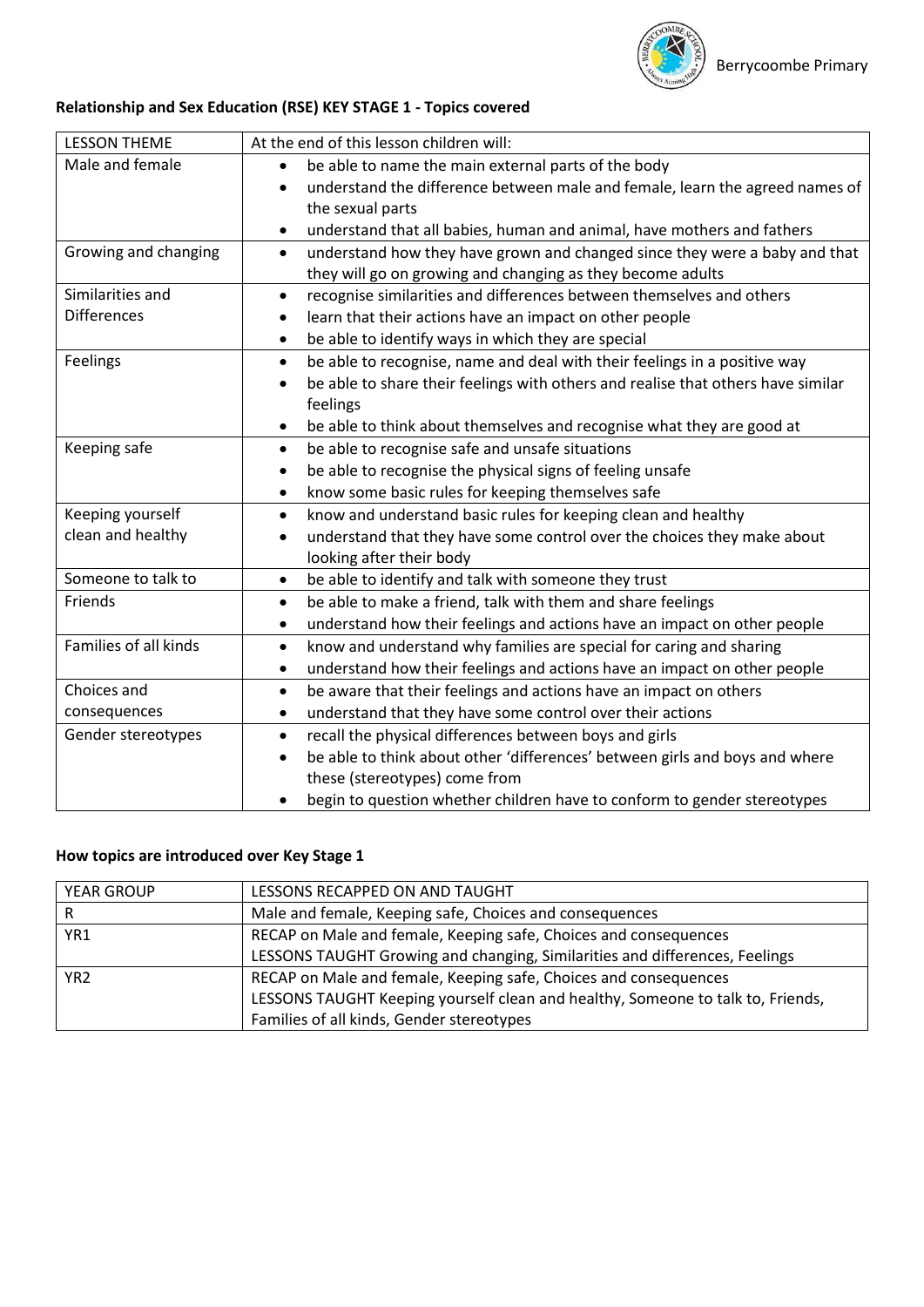

# **Relationship and Sex Education (RSE) KEY STAGE 1 - Topics covered**

| <b>LESSON THEME</b>   | At the end of this lesson children will:                                                |
|-----------------------|-----------------------------------------------------------------------------------------|
| Male and female       | be able to name the main external parts of the body                                     |
|                       | understand the difference between male and female, learn the agreed names of            |
|                       | the sexual parts                                                                        |
|                       | understand that all babies, human and animal, have mothers and fathers                  |
| Growing and changing  | understand how they have grown and changed since they were a baby and that<br>$\bullet$ |
|                       | they will go on growing and changing as they become adults                              |
| Similarities and      | recognise similarities and differences between themselves and others                    |
| <b>Differences</b>    | learn that their actions have an impact on other people                                 |
|                       | be able to identify ways in which they are special<br>٠                                 |
| Feelings              | be able to recognise, name and deal with their feelings in a positive way<br>$\bullet$  |
|                       | be able to share their feelings with others and realise that others have similar        |
|                       | feelings                                                                                |
|                       | be able to think about themselves and recognise what they are good at<br>$\bullet$      |
| Keeping safe          | be able to recognise safe and unsafe situations<br>$\bullet$                            |
|                       | be able to recognise the physical signs of feeling unsafe                               |
|                       | know some basic rules for keeping themselves safe<br>$\bullet$                          |
| Keeping yourself      | know and understand basic rules for keeping clean and healthy<br>$\bullet$              |
| clean and healthy     | understand that they have some control over the choices they make about                 |
|                       | looking after their body                                                                |
| Someone to talk to    | be able to identify and talk with someone they trust<br>$\bullet$                       |
| Friends               | be able to make a friend, talk with them and share feelings<br>$\bullet$                |
|                       | understand how their feelings and actions have an impact on other people                |
| Families of all kinds | know and understand why families are special for caring and sharing<br>$\bullet$        |
|                       | understand how their feelings and actions have an impact on other people<br>٠           |
| Choices and           | be aware that their feelings and actions have an impact on others<br>$\bullet$          |
| consequences          | understand that they have some control over their actions<br>٠                          |
| Gender stereotypes    | recall the physical differences between boys and girls<br>$\bullet$                     |
|                       | be able to think about other 'differences' between girls and boys and where             |
|                       | these (stereotypes) come from                                                           |
|                       | begin to question whether children have to conform to gender stereotypes<br>٠           |

# **How topics are introduced over Key Stage 1**

| LESSONS RECAPPED ON AND TAUGHT<br><b>YEAR GROUP</b>                                 |                                                                                 |  |
|-------------------------------------------------------------------------------------|---------------------------------------------------------------------------------|--|
|                                                                                     | Male and female, Keeping safe, Choices and consequences                         |  |
| YR <sub>1</sub>                                                                     | RECAP on Male and female, Keeping safe, Choices and consequences                |  |
|                                                                                     | LESSONS TAUGHT Growing and changing, Similarities and differences, Feelings     |  |
| RECAP on Male and female, Keeping safe, Choices and consequences<br>YR <sub>2</sub> |                                                                                 |  |
|                                                                                     | LESSONS TAUGHT Keeping yourself clean and healthy, Someone to talk to, Friends, |  |
|                                                                                     | Families of all kinds, Gender stereotypes                                       |  |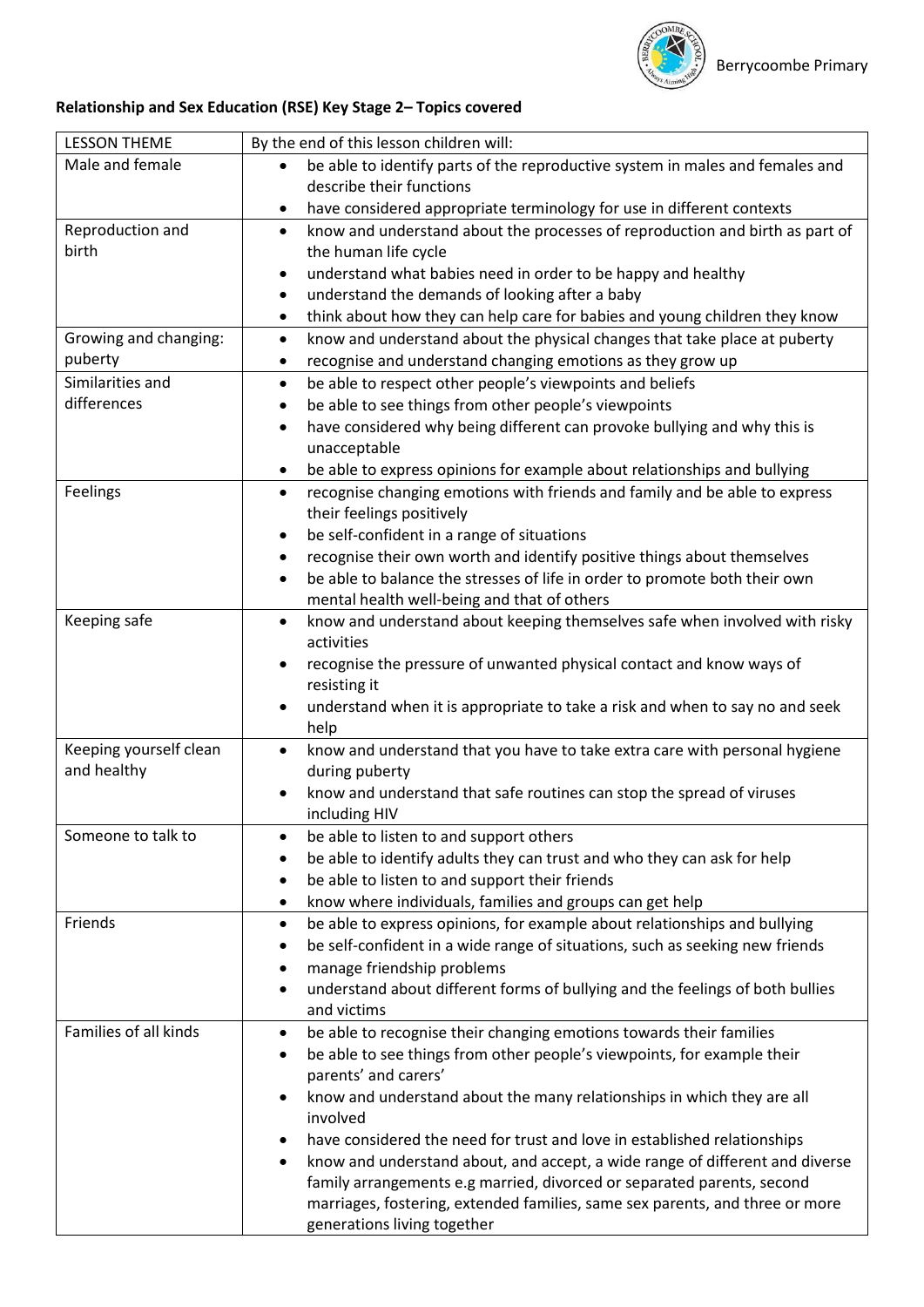

# **Relationship and Sex Education (RSE) Key Stage 2– Topics covered**

| <b>LESSON THEME</b>    | By the end of this lesson children will:                                                  |  |  |
|------------------------|-------------------------------------------------------------------------------------------|--|--|
| Male and female        | be able to identify parts of the reproductive system in males and females and             |  |  |
|                        | describe their functions                                                                  |  |  |
|                        | have considered appropriate terminology for use in different contexts<br>٠                |  |  |
| Reproduction and       | know and understand about the processes of reproduction and birth as part of<br>$\bullet$ |  |  |
| birth                  | the human life cycle                                                                      |  |  |
|                        | understand what babies need in order to be happy and healthy<br>$\bullet$                 |  |  |
|                        | understand the demands of looking after a baby<br>$\bullet$                               |  |  |
|                        | think about how they can help care for babies and young children they know<br>$\bullet$   |  |  |
| Growing and changing:  | know and understand about the physical changes that take place at puberty<br>$\bullet$    |  |  |
| puberty                | recognise and understand changing emotions as they grow up<br>٠                           |  |  |
| Similarities and       | be able to respect other people's viewpoints and beliefs<br>$\bullet$                     |  |  |
| differences            | be able to see things from other people's viewpoints<br>٠                                 |  |  |
|                        | have considered why being different can provoke bullying and why this is<br>$\bullet$     |  |  |
|                        | unacceptable                                                                              |  |  |
|                        | be able to express opinions for example about relationships and bullying<br>٠             |  |  |
| Feelings               | recognise changing emotions with friends and family and be able to express<br>$\bullet$   |  |  |
|                        | their feelings positively                                                                 |  |  |
|                        | be self-confident in a range of situations                                                |  |  |
|                        | recognise their own worth and identify positive things about themselves<br>٠              |  |  |
|                        | be able to balance the stresses of life in order to promote both their own<br>$\bullet$   |  |  |
|                        | mental health well-being and that of others                                               |  |  |
| Keeping safe           | know and understand about keeping themselves safe when involved with risky<br>٠           |  |  |
|                        | activities                                                                                |  |  |
|                        | recognise the pressure of unwanted physical contact and know ways of                      |  |  |
|                        | resisting it                                                                              |  |  |
|                        | understand when it is appropriate to take a risk and when to say no and seek<br>$\bullet$ |  |  |
|                        | help                                                                                      |  |  |
| Keeping yourself clean | know and understand that you have to take extra care with personal hygiene<br>$\bullet$   |  |  |
| and healthy            | during puberty                                                                            |  |  |
|                        | know and understand that safe routines can stop the spread of viruses<br>$\bullet$        |  |  |
|                        | including HIV                                                                             |  |  |
| Someone to talk to     | be able to listen to and support others                                                   |  |  |
|                        | be able to identify adults they can trust and who they can ask for help<br>٠              |  |  |
|                        | be able to listen to and support their friends<br>٠                                       |  |  |
|                        | know where individuals, families and groups can get help<br>$\bullet$                     |  |  |
| Friends                | be able to express opinions, for example about relationships and bullying<br>$\bullet$    |  |  |
|                        | be self-confident in a wide range of situations, such as seeking new friends<br>٠         |  |  |
|                        | manage friendship problems<br>٠                                                           |  |  |
|                        | understand about different forms of bullying and the feelings of both bullies<br>٠        |  |  |
|                        | and victims                                                                               |  |  |
| Families of all kinds  | be able to recognise their changing emotions towards their families<br>$\bullet$          |  |  |
|                        | be able to see things from other people's viewpoints, for example their<br>٠              |  |  |
|                        | parents' and carers'                                                                      |  |  |
|                        | know and understand about the many relationships in which they are all<br>٠<br>involved   |  |  |
|                        | have considered the need for trust and love in established relationships                  |  |  |
|                        | know and understand about, and accept, a wide range of different and diverse              |  |  |
|                        | family arrangements e.g married, divorced or separated parents, second                    |  |  |
|                        | marriages, fostering, extended families, same sex parents, and three or more              |  |  |
|                        | generations living together                                                               |  |  |
|                        |                                                                                           |  |  |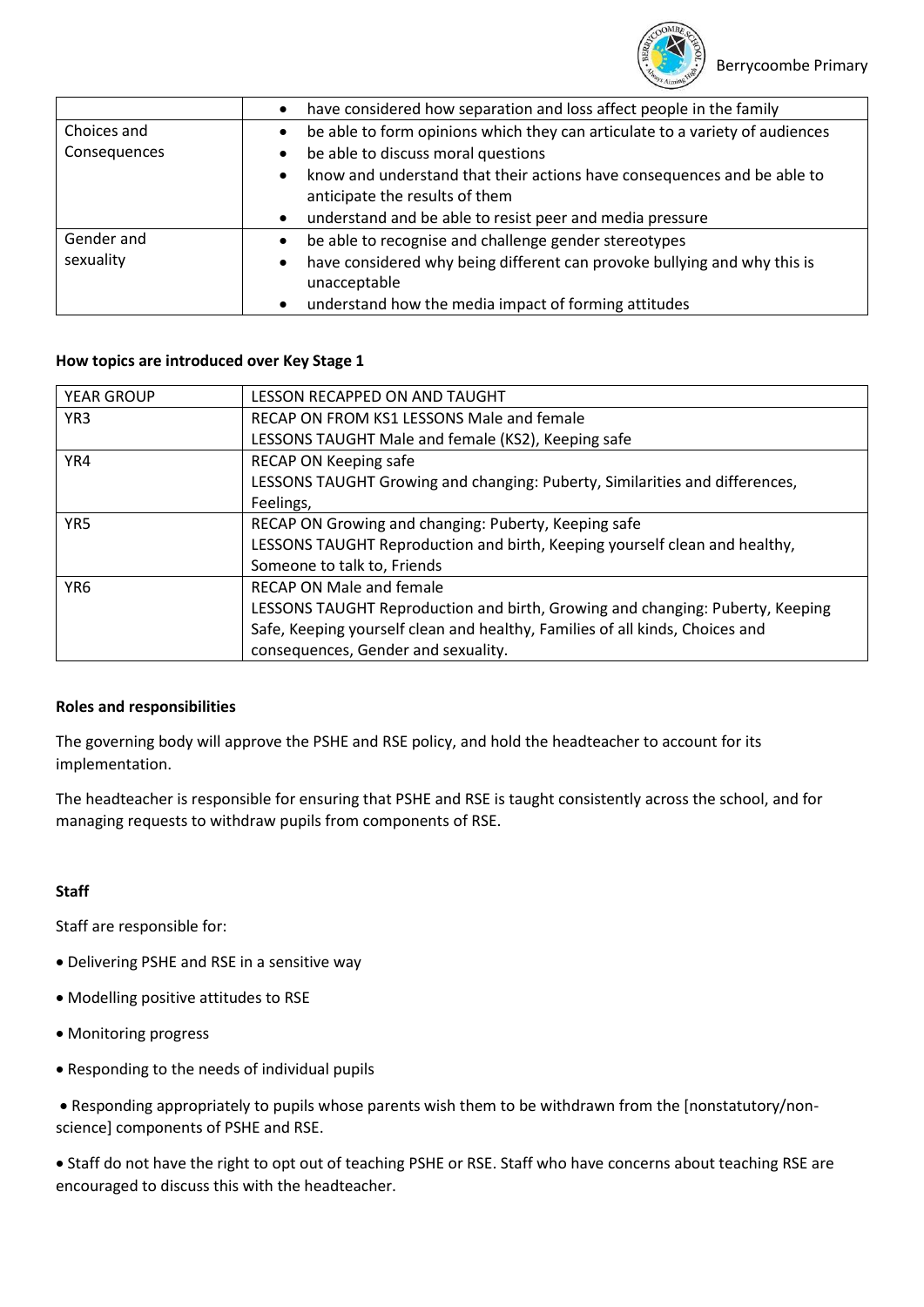

|                                                                                             | have considered how separation and loss affect people in the family      |
|---------------------------------------------------------------------------------------------|--------------------------------------------------------------------------|
| Choices and<br>be able to form opinions which they can articulate to a variety of audiences |                                                                          |
| Consequences                                                                                | be able to discuss moral questions                                       |
|                                                                                             | know and understand that their actions have consequences and be able to  |
|                                                                                             | anticipate the results of them                                           |
|                                                                                             | understand and be able to resist peer and media pressure                 |
| Gender and                                                                                  | be able to recognise and challenge gender stereotypes                    |
| sexuality                                                                                   | have considered why being different can provoke bullying and why this is |
|                                                                                             | unacceptable                                                             |
|                                                                                             | understand how the media impact of forming attitudes                     |

## **How topics are introduced over Key Stage 1**

| <b>YEAR GROUP</b> | LESSON RECAPPED ON AND TAUGHT                                                 |  |  |
|-------------------|-------------------------------------------------------------------------------|--|--|
| YR <sub>3</sub>   | RECAP ON FROM KS1 LESSONS Male and female                                     |  |  |
|                   | LESSONS TAUGHT Male and female (KS2), Keeping safe                            |  |  |
| YR4               | RECAP ON Keeping safe                                                         |  |  |
|                   | LESSONS TAUGHT Growing and changing: Puberty, Similarities and differences,   |  |  |
|                   | Feelings,                                                                     |  |  |
| YR <sub>5</sub>   | RECAP ON Growing and changing: Puberty, Keeping safe                          |  |  |
|                   | LESSONS TAUGHT Reproduction and birth, Keeping yourself clean and healthy,    |  |  |
|                   | Someone to talk to, Friends                                                   |  |  |
| YR <sub>6</sub>   | <b>RECAP ON Male and female</b>                                               |  |  |
|                   | LESSONS TAUGHT Reproduction and birth, Growing and changing: Puberty, Keeping |  |  |
|                   | Safe, Keeping yourself clean and healthy, Families of all kinds, Choices and  |  |  |
|                   | consequences, Gender and sexuality.                                           |  |  |

## **Roles and responsibilities**

The governing body will approve the PSHE and RSE policy, and hold the headteacher to account for its implementation.

The headteacher is responsible for ensuring that PSHE and RSE is taught consistently across the school, and for managing requests to withdraw pupils from components of RSE.

## **Staff**

Staff are responsible for:

- Delivering PSHE and RSE in a sensitive way
- Modelling positive attitudes to RSE
- Monitoring progress
- Responding to the needs of individual pupils

 Responding appropriately to pupils whose parents wish them to be withdrawn from the [nonstatutory/nonscience] components of PSHE and RSE.

 Staff do not have the right to opt out of teaching PSHE or RSE. Staff who have concerns about teaching RSE are encouraged to discuss this with the headteacher.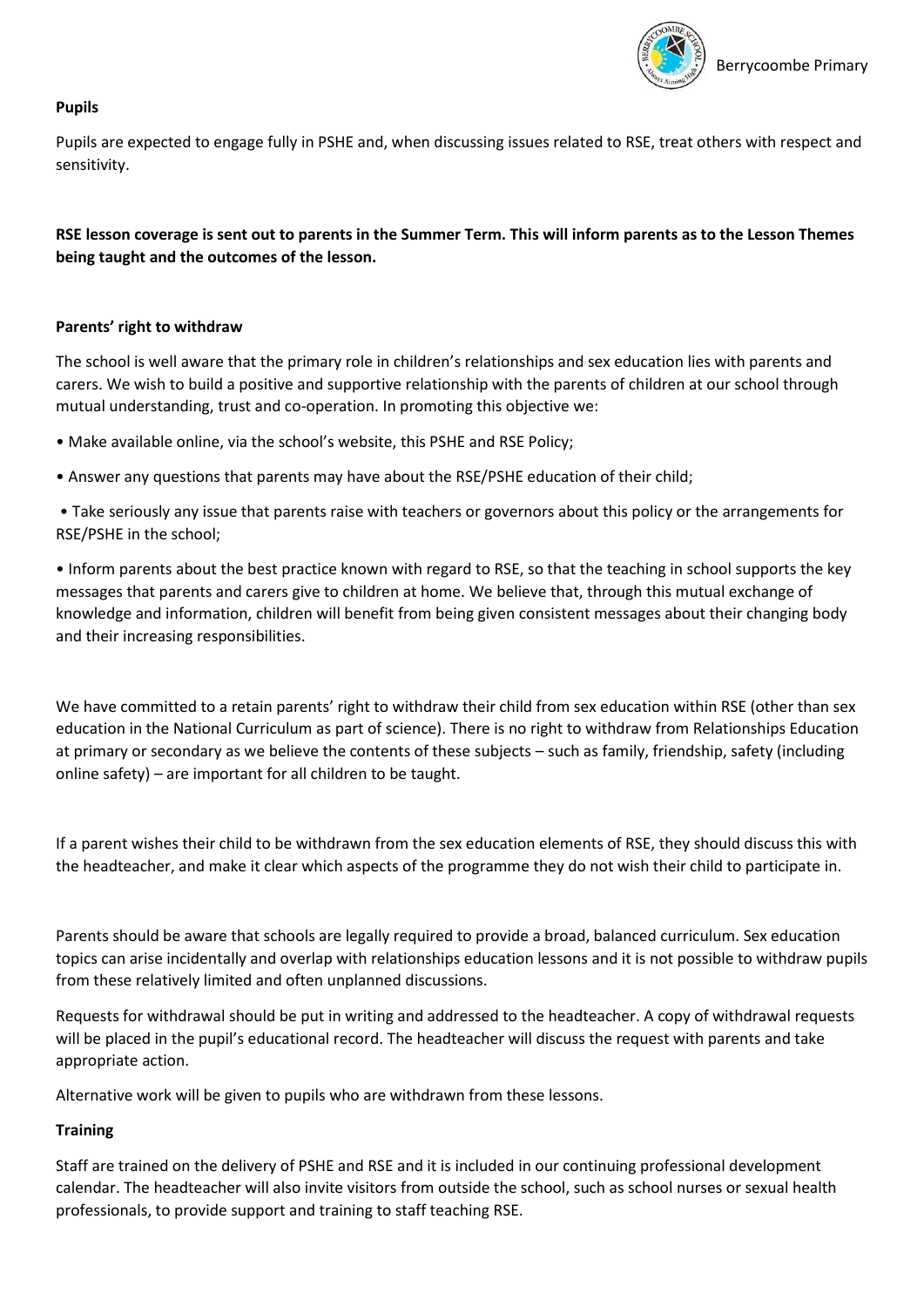

## **Pupils**

Pupils are expected to engage fully in PSHE and, when discussing issues related to RSE, treat others with respect and sensitivity.

**RSE lesson coverage is sent out to parents in the Summer Term. This will inform parents as to the Lesson Themes being taught and the outcomes of the lesson.**

## **Parents' right to withdraw**

The school is well aware that the primary role in children's relationships and sex education lies with parents and carers. We wish to build a positive and supportive relationship with the parents of children at our school through mutual understanding, trust and co-operation. In promoting this objective we:

• Make available online, via the school's website, this PSHE and RSE Policy;

• Answer any questions that parents may have about the RSE/PSHE education of their child;

• Take seriously any issue that parents raise with teachers or governors about this policy or the arrangements for RSE/PSHE in the school;

• Inform parents about the best practice known with regard to RSE, so that the teaching in school supports the key messages that parents and carers give to children at home. We believe that, through this mutual exchange of knowledge and information, children will benefit from being given consistent messages about their changing body and their increasing responsibilities.

We have committed to a retain parents' right to withdraw their child from sex education within RSE (other than sex education in the National Curriculum as part of science). There is no right to withdraw from Relationships Education at primary or secondary as we believe the contents of these subjects – such as family, friendship, safety (including online safety) – are important for all children to be taught.

If a parent wishes their child to be withdrawn from the sex education elements of RSE, they should discuss this with the headteacher, and make it clear which aspects of the programme they do not wish their child to participate in.

Parents should be aware that schools are legally required to provide a broad, balanced curriculum. Sex education topics can arise incidentally and overlap with relationships education lessons and it is not possible to withdraw pupils from these relatively limited and often unplanned discussions.

Requests for withdrawal should be put in writing and addressed to the headteacher. A copy of withdrawal requests will be placed in the pupil's educational record. The headteacher will discuss the request with parents and take appropriate action.

Alternative work will be given to pupils who are withdrawn from these lessons.

## **Training**

Staff are trained on the delivery of PSHE and RSE and it is included in our continuing professional development calendar. The headteacher will also invite visitors from outside the school, such as school nurses or sexual health professionals, to provide support and training to staff teaching RSE.